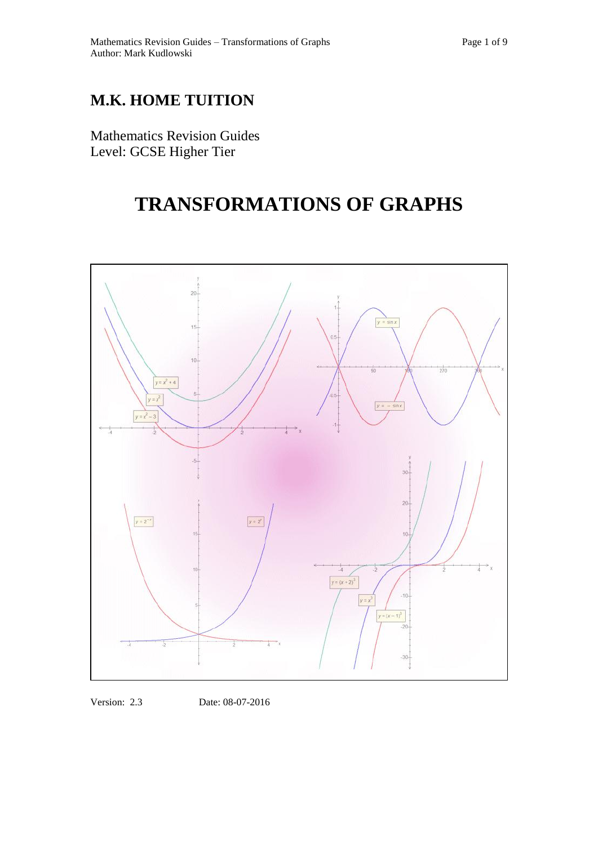# **M.K. HOME TUITION**

Mathematics Revision Guides Level: GCSE Higher Tier

# **TRANSFORMATIONS OF GRAPHS**



Version: 2.3 Date: 08-07-2016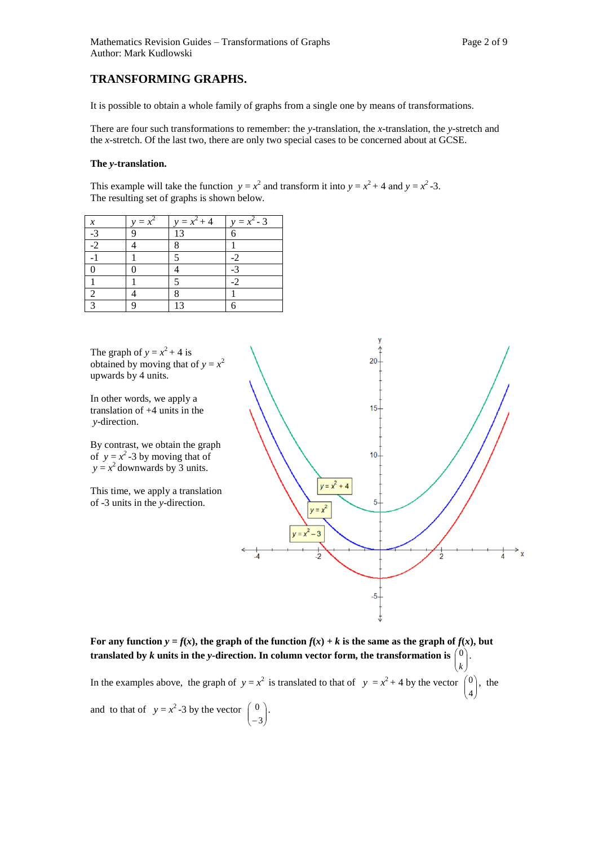It is possible to obtain a whole family of graphs from a single one by means of transformations.

There are four such transformations to remember: the *y*-translation, the *x-*translation, the *y-*stretch and the *x-*stretch. Of the last two, there are only two special cases to be concerned about at GCSE.

#### **The** *y-***translation.**

This example will take the function  $y = x^2$  and transform it into  $y = x^2 + 4$  and  $y = x^2 - 3$ . The resulting set of graphs is shown below.

| $\boldsymbol{\mathcal{X}}$ | $= x^2$ | $y = x^2 + 4$         | $y = x^2 - 3$ |
|----------------------------|---------|-----------------------|---------------|
| $-3$                       |         | 13                    | 6             |
| $-2$                       |         | 8                     |               |
|                            |         | $\tilde{\phantom{a}}$ | $-2$          |
|                            |         |                       | $-3$          |
|                            |         | 5                     | $-2$          |
| 2                          |         |                       |               |
| $\mathbf{r}$               |         | 13                    |               |

The graph of  $y = x^2 + 4$  is obtained by moving that of  $y = x^2$ upwards by 4 units.

In other words, we apply a translation of +4 units in the *y*-direction.

By contrast, we obtain the graph of  $y = x^2 - 3$  by moving that of  $y = x^2$  downwards by 3 units.

This time, we apply a translation of -3 units in the *y*-direction.



For any function  $y = f(x)$ , the graph of the function  $f(x) + k$  is the same as the graph of  $f(x)$ , but **translated** by  $k$  units in the y-direction. In column vector form, the transformation is  $\begin{pmatrix} 0 \\ k \end{pmatrix}$  *k*  $\binom{0}{k}$ . In the examples above, the graph of  $y = x^2$  is translated to that of  $y = x^2 + 4$  by the vector  $\begin{pmatrix} 0 \\ 4 \end{pmatrix}$ J  $\lambda$  $\mathbf{r}$ L ſ 4  $\vert 0 \rangle$ , the and to that of  $y = x^2 - 3$  by the vector  $\begin{pmatrix} 0 \\ -3 \end{pmatrix}$ J  $\lambda$  $\mathsf{I}$ L ſ 3  $\begin{matrix} 0 \end{matrix}$ .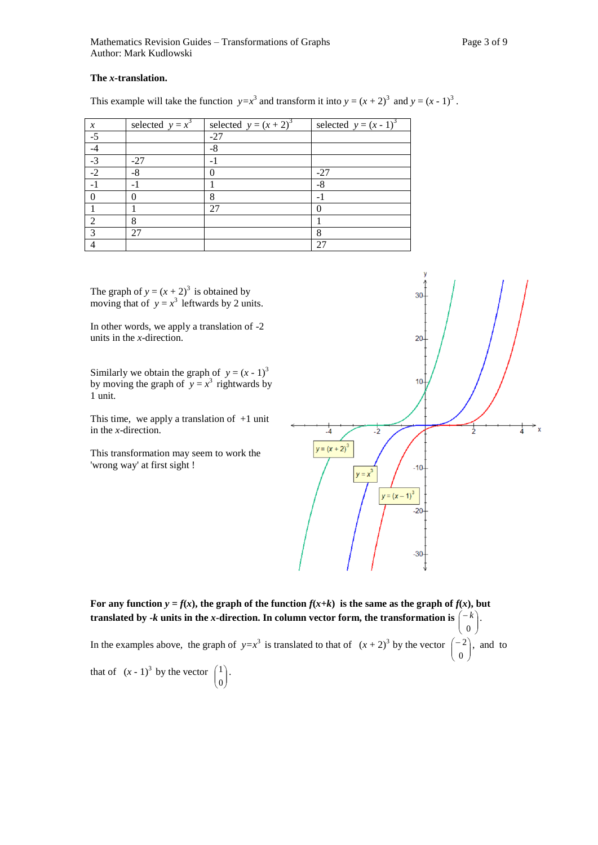## **The** *x-***translation.**

This example will take the function  $y=x^3$  and transform it into  $y=(x+2)^3$  and  $y=(x-1)^3$ .

| $\mathcal{X}$ | selected $y = x^3$ | selected $y = (x + 2)^3$ | selected $y=(x-1)^3$ |
|---------------|--------------------|--------------------------|----------------------|
| $-5$          |                    | $-27$                    |                      |
|               |                    | $-8$                     |                      |
| $-3$          | $-27$              | $-1$                     |                      |
| $-2$          | -8                 |                          | $-27$                |
|               |                    |                          | -8                   |
|               |                    | 8                        |                      |
|               |                    | 27                       |                      |
| 2             | 8                  |                          |                      |
| $\mathbf{z}$  | 27                 |                          | 8                    |
|               |                    |                          | 27                   |

The graph of  $y = (x + 2)^3$  is obtained by moving that of  $y = x^3$  leftwards by 2 units.

In other words, we apply a translation of -2 units in the *x*-direction.

Similarly we obtain the graph of  $y = (x - 1)^3$ by moving the graph of  $y = x^3$  rightwards by 1 unit.

This time, we apply a translation of  $+1$  unit in the *x*-direction.

This transformation may seem to work the 'wrong way' at first sight !



)

L

For any function  $y = f(x)$ , the graph of the function  $f(x+k)$  is the same as the graph of  $f(x)$ , but **translated** by -*k* units in the *x*-direction. In column vector form, the transformation is  $\begin{bmatrix} -k \\ 0 \end{bmatrix}$ Ј  $\lambda$  $\mathbf{I}$ L  $\left( -\right)$ 0  $k$ . In the examples above, the graph of  $y=x^3$  is translated to that of  $(x+2)^3$  by the vector  $\begin{pmatrix} -2 \\ 0 \end{pmatrix}$  $\lambda$  $\mathsf{I}$  $\left( -\right)$ 0  $2$ , and to

that of  $(x - 1)^3$  by the vector  $\begin{pmatrix} 1 \\ 0 \end{pmatrix}$ J  $\mathcal{L}_{\mathcal{L}}$  $\mathsf{I}$ L ſ 0  $1$ .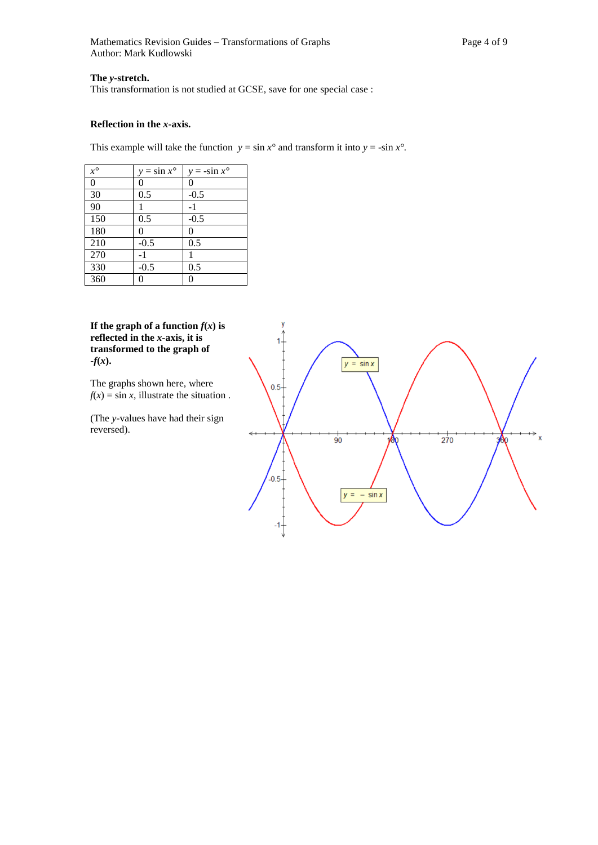Mathematics Revision Guides – Transformations of Graphs Page 4 of 9 Author: Mark Kudlowski

# **The** *y-***stretch.**

This transformation is not studied at GCSE, save for one special case :

#### **Reflection in the** *x***-axis.**

This example will take the function  $y = \sin x^\circ$  and transform it into  $y = -\sin x^\circ$ .

| $x^{\circ}$    | $y = \sin x^{\circ}$ | $y = -\sin x^{\circ}$ |
|----------------|----------------------|-----------------------|
| $\overline{0}$ | 0                    | 0                     |
| 30             | 0.5                  | $-0.5$                |
| 90             |                      | $-1$                  |
| 150            | 0.5                  | $-0.5$                |
| 180            | 0                    | 0                     |
| 210            | $-0.5$               | 0.5                   |
| 270            | $-1$                 |                       |
| 330            | $-0.5$               | 0.5                   |
| 360            |                      | 0                     |

**If the graph of a function**  $f(x)$  **is reflected in the** *x-***axis, it is transformed to the graph of**   $-f(x)$ .

The graphs shown here, where  $f(x) = \sin x$ , illustrate the situation.

(The *y-*values have had their sign reversed).

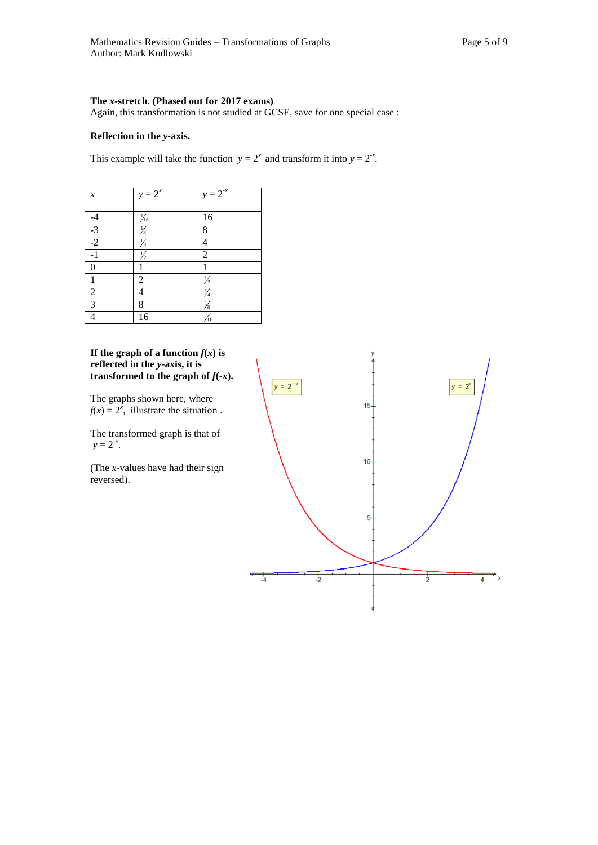#### **The** *x-***stretch. (Phased out for 2017 exams)**

Again, this transformation is not studied at GCSE, save for one special case :

# **Reflection in the** *y-***axis.**

This example will take the function  $y = 2^x$  and transform it into  $y = 2^{-x}$ .

| $\boldsymbol{\mathcal{X}}$         | $y = 2^x$      | $y = 2^{-x}$   |
|------------------------------------|----------------|----------------|
|                                    |                |                |
|                                    | $\frac{1}{16}$ | 16             |
| $\frac{-4}{-3}$<br>$\frac{-2}{-2}$ | $\frac{1}{8}$  | 8              |
|                                    | $\frac{1}{4}$  | 4              |
| $-1$                               | $\frac{1}{2}$  | $\overline{2}$ |
| $\overline{0}$                     | 1              | 1              |
|                                    | $\overline{c}$ | $\frac{1}{2}$  |
| $\boldsymbol{2}$                   | 4              | $\frac{1}{4}$  |
| $\overline{3}$                     | 8              | $\frac{1}{8}$  |
| 4                                  | 16             | $\frac{1}{16}$ |

# **If the graph of a function**  $f(x)$  **is reflected in the** *y-***axis, it is transformed to the graph of**  $f(x)$ **.**

The graphs shown here, where  $f(x) = 2^x$ , illustrate the situation.

The transformed graph is that of  $y = 2^{-x}$ .

(The *x-*values have had their sign reversed).

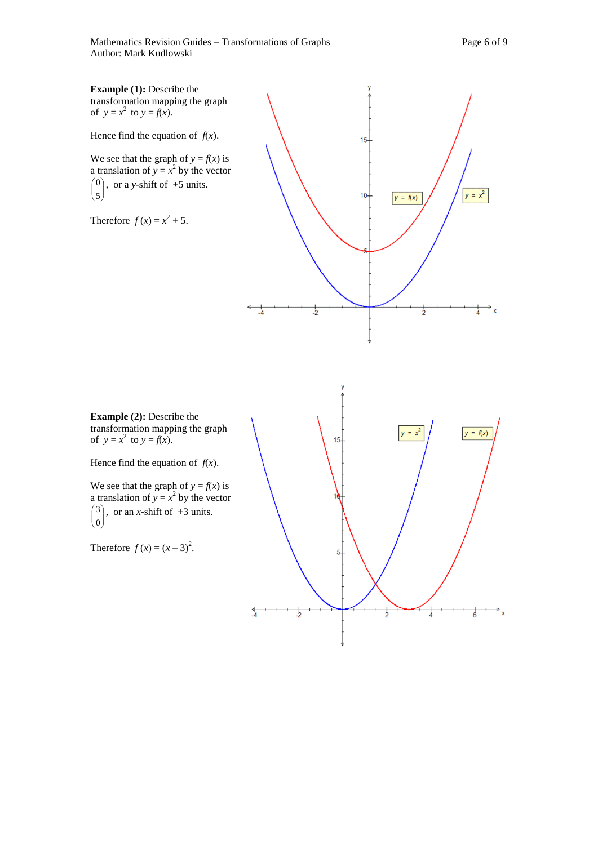Mathematics Revision Guides – Transformations of Graphs Page 6 of 9 Author: Mark Kudlowski

⋣

 $\overline{6}$ 

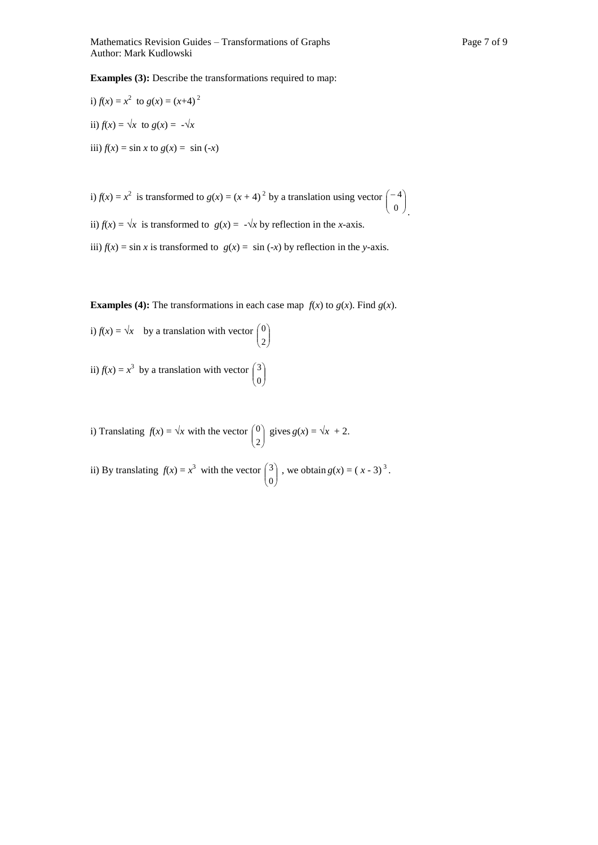.

**Examples (3):** Describe the transformations required to map:

i) 
$$
f(x) = x^2
$$
 to  $g(x) = (x+4)^2$   
ii)  $f(x) = \sqrt{x}$  to  $g(x) = -\sqrt{x}$   
iii)  $f(x) = \sin x$  to  $g(x) = \sin (-x)$ 

i)  $f(x) = x^2$  is transformed to  $g(x) = (x + 4)^2$  by a translation using vector  $\begin{pmatrix} -4 \\ 0 \end{pmatrix}$ J  $\lambda$  $\mathsf{I}$  $\overline{\phantom{0}}$  $\left( -\right)$ 0 4

ii)  $f(x) = \sqrt{x}$  is transformed to  $g(x) = -\sqrt{x}$  by reflection in the *x*-axis.

iii)  $f(x) = \sin x$  is transformed to  $g(x) = \sin (-x)$  by reflection in the *y*-axis.

**Examples (4):** The transformations in each case map  $f(x)$  to  $g(x)$ . Find  $g(x)$ .

i)  $f(x) = \sqrt{x}$  by a translation with vector  $\begin{pmatrix} 0 \\ 2 \end{pmatrix}$ J  $\lambda$  $\mathsf{I}$  $\overline{\mathcal{L}}$ ſ 2 0

ii)  $f(x) = x^3$  by a translation with vector  $\begin{pmatrix} 3 \\ 0 \end{pmatrix}$ J  $\lambda$  $\overline{\phantom{a}}$ L ſ 0 3

i) Translating  $f(x) = \sqrt{x}$  with the vector  $\begin{pmatrix} 0 \\ 2 \end{pmatrix}$ J  $\lambda$  $\overline{\phantom{a}}$ L ſ 2 <sup>0</sup>) gives  $g(x) = \sqrt{x^2 + 2}$ .

ii) By translating  $f(x) = x^3$  with the vector  $\begin{pmatrix} 3 \\ 0 \end{pmatrix}$ )  $\mathcal{L}$  $\overline{\phantom{a}}$ L ſ 0  $3^{3}$ , we obtain  $g(x) = (x - 3)^{3}$ .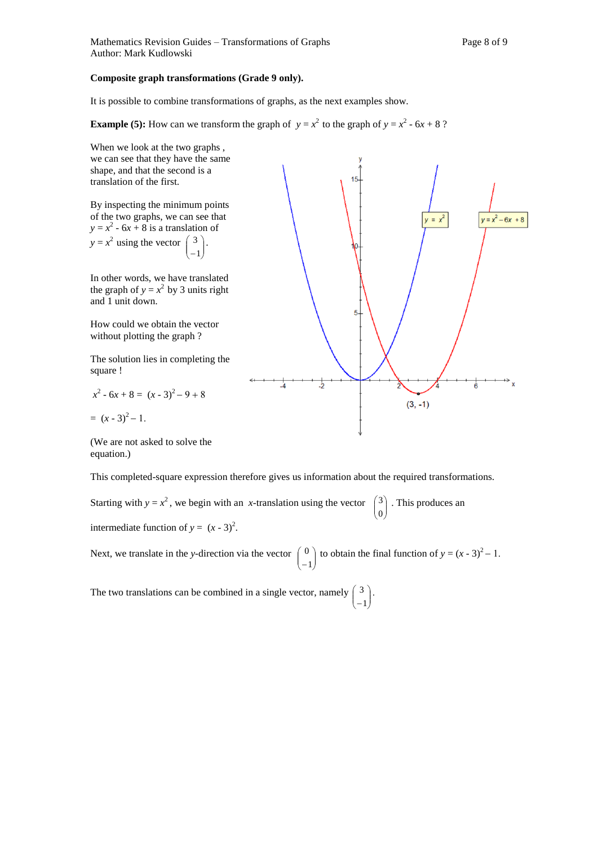Mathematics Revision Guides – Transformations of Graphs Page 8 of 9 Author: Mark Kudlowski

# **Composite graph transformations (Grade 9 only).**

It is possible to combine transformations of graphs, as the next examples show.

**Example (5):** How can we transform the graph of  $y = x^2$  to the graph of  $y = x^2 - 6x + 8$ ?



This completed-square expression therefore gives us information about the required transformations.

Starting with  $y = x^2$ , we begin with an *x*-translation using the vector  $\vert$ J  $\lambda$  $\overline{\phantom{a}}$ L ſ 0 <sup>3</sup>. This produces an intermediate function of  $y = (x - 3)^2$ .

Next, we translate in the *y*-direction via the vector  $\begin{bmatrix} 0 \\ -1 \end{bmatrix}$ J  $\mathcal{L}_{\mathcal{L}}$  $\mathsf{I}$  $\overline{\mathcal{L}}$ ſ  $-1$ <sup>0</sup> to obtain the final function of  $y = (x - 3)^2 - 1$ .

The two translations can be combined in a single vector, namely  $\begin{bmatrix} 3 \\ -1 \end{bmatrix}$ J  $\lambda$  $\mathsf{I}$ L ſ  $-1$  $3$ .